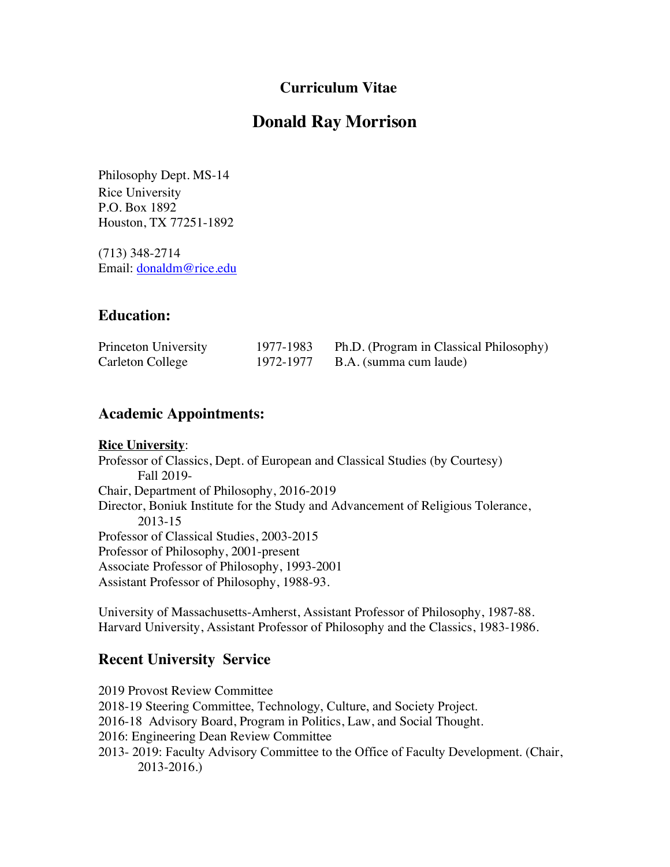## **Curriculum Vitae**

# **Donald Ray Morrison**

Philosophy Dept. MS-14 Rice University P.O. Box 1892 Houston, TX 77251-1892

(713) 348-2714 Email: [donaldm@rice.edu](mailto:donaldm@rice.edu)

## **Education:**

| Princeton University | 1977-1983 | Ph.D. (Program in Classical Philosophy) |
|----------------------|-----------|-----------------------------------------|
| Carleton College     | 1972-1977 | B.A. (summa cum laude)                  |

## **Academic Appointments:**

#### **Rice University**:

 Fall 2019- Professor of Classical Studies, 2003-2015 Professor of Classics, Dept. of European and Classical Studies (by Courtesy) Chair, Department of Philosophy, 2016-2019 Director, Boniuk Institute for the Study and Advancement of Religious Tolerance, 2013-15 Professor of Philosophy, 2001-present Associate Professor of Philosophy, 1993-2001 Assistant Professor of Philosophy, 1988-93.

University of Massachusetts-Amherst, Assistant Professor of Philosophy, 1987-88. Harvard University, Assistant Professor of Philosophy and the Classics, 1983-1986.

# **Recent University Service**

 2018-19 Steering Committee, Technology, Culture, and Society Project. 2016-18 Advisory Board, Program in Politics, Law, and Social Thought. 2019 Provost Review Committee 2016: Engineering Dean Review Committee 2013- 2019: Faculty Advisory Committee to the Office of Faculty Development. (Chair, 2013-2016.)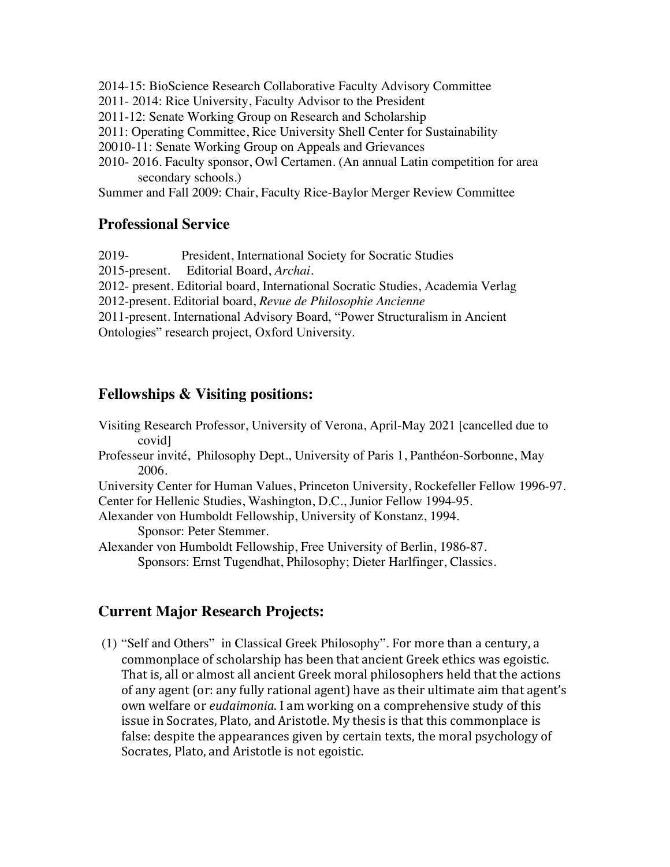- 2014-15: BioScience Research Collaborative Faculty Advisory Committee
- 2011- 2014: Rice University, Faculty Advisor to the President
- 2011-12: Senate Working Group on Research and Scholarship
- 2011: Operating Committee, Rice University Shell Center for Sustainability
- 20010-11: Senate Working Group on Appeals and Grievances
- 2010- 2016. Faculty sponsor, Owl Certamen. (An annual Latin competition for area secondary schools.)

Summer and Fall 2009: Chair, Faculty Rice-Baylor Merger Review Committee

#### **Professional Service**

- $2019 -$ President, International Society for Socratic Studies
- 2015-present. Editorial Board, *Archai*.
- 2012- present. Editorial board, International Socratic Studies, Academia Verlag
- 2012-present. Editorial board, *Revue de Philosophie Ancienne*

2011-present. International Advisory Board, "Power Structuralism in Ancient Ontologies" research project, Oxford University.

### **Fellowships & Visiting positions:**

Visiting Research Professor, University of Verona, April-May 2021 [cancelled due to covid] Professeur invité, Philosophy Dept., University of Paris 1, Panthéon-Sorbonne, May 2006.

University Center for Human Values, Princeton University, Rockefeller Fellow 1996-97. Center for Hellenic Studies, Washington, D.C., Junior Fellow 1994-95.

Alexander von Humboldt Fellowship, University of Konstanz, 1994.

Sponsor: Peter Stemmer.

Alexander von Humboldt Fellowship, Free University of Berlin, 1986-87. Sponsors: Ernst Tugendhat, Philosophy; Dieter Harlfinger, Classics.

### **Current Major Research Projects:**

 (1) "Self and Others" in Classical Greek Philosophy". For more than a century, a commonplace of scholarship has been that ancient Greek ethics was egoistic. That is, all or almost all ancient Greek moral philosophers held that the actions of any agent (or: any fully rational agent) have as their ultimate aim that agent's own welfare or *eudaimonia*. I am working on a comprehensive study of this issue in Socrates, Plato, and Aristotle. My thesis is that this commonplace is false: despite the appearances given by certain texts, the moral psychology of Socrates, Plato, and Aristotle is not egoistic.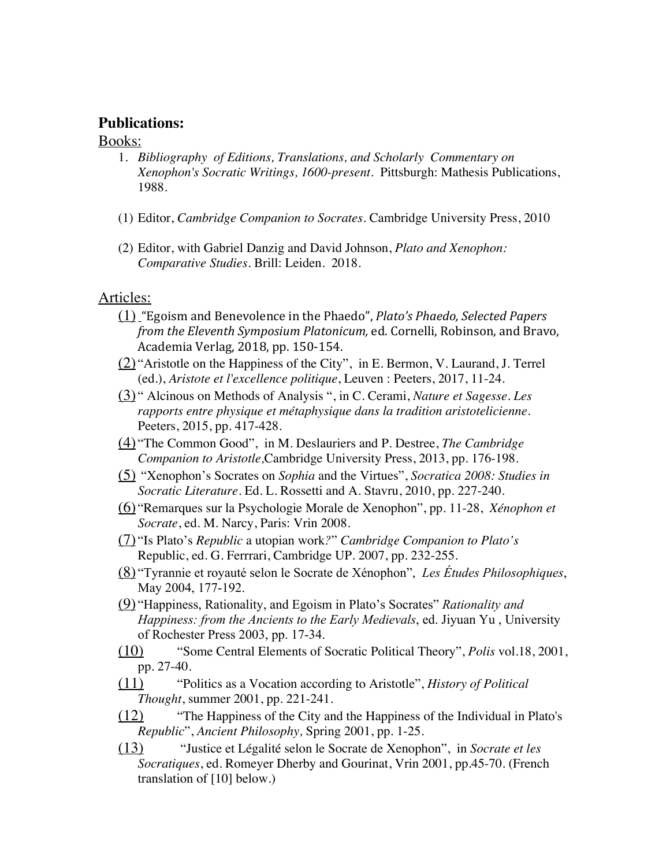#### **Publications:**

#### **Books:**

- 1. *Bibliography of Editions, Translations, and Scholarly Commentary on Xenophon's Socratic Writings, 1600-present*. Pittsburgh: Mathesis Publications, 1988.
- (1) Editor, *Cambridge Companion to Socrates.* Cambridge University Press, 2010
- *Comparative Studies.* Brill: Leiden. 2018. Articles: (2) Editor, with Gabriel Danzig and David Johnson, *Plato and Xenophon:*

- (1) "Egoism and Benevolence in the Phaedo", *Plato's Phaedo, Selected Papers* from the Eleventh Symposium Platonicum, ed. Cornelli, Robinson, and Bravo, Academia Verlag, 2018, pp. 150-154.
- $(2)$  "Aristotle on the Happiness of the City", in E. Bermon, V. Laurand, J. Terrel (ed.), *Aristote et l'excellence politique*, Leuven : Peeters, 2017, 11-24.
- (3) " Alcinous on Methods of Analysis ", in C. Cerami, *Nature et Sagesse. Les rapports entre physique et métaphysique dans la tradition aristotelicienne.* Peeters, 2015, pp. 417-428.
- (4) "The Common Good", in M. Deslauriers and P. Destree, *The Cambridge Companion to Aristotle,*Cambridge University Press, 2013, pp. 176-198.
- (5) "Xenophon's Socrates on *Sophia* and the Virtues", *Socratica 2008: Studies in Socratic Literature*. Ed. L. Rossetti and A. Stavru, 2010, pp. 227-240.
- (6) "Remarques sur la Psychologie Morale de Xenophon", pp. 11-28, *Xénophon et Socrate*, ed. M. Narcy, Paris: Vrin 2008.
- (7) "Is Plato's *Republic* a utopian work*?*" *Cambridge Companion to Plato's* Republic, ed. G. Ferrrari, Cambridge UP. 2007, pp. 232-255.
- (8) "Tyrannie et royauté selon le Socrate de Xénophon", *Les Études Philosophiques*, May 2004, 177-192.
- (9) "Happiness, Rationality, and Egoism in Plato's Socrates" *Rationality and Happiness: from the Ancients to the Early Medievals*, ed. Jiyuan Yu , University of Rochester Press 2003, pp. 17-34.
- (10) "Some Central Elements of Socratic Political Theory", *Polis* vol.18, 2001, pp. 27-40.
- (11) "Politics as a Vocation according to Aristotle", *History of Political Thought*, summer 2001, pp. 221-241.
- (12) "The Happiness of the City and the Happiness of the Individual in Plato's *Republic*", *Ancient Philosophy,* Spring 2001, pp. 1-25.
- (13) "Justice et Légalité selon le Socrate de Xenophon", in *Socrate et les Socratiques*, ed. Romeyer Dherby and Gourinat, Vrin 2001, pp.45-70. (French translation of [10] below.)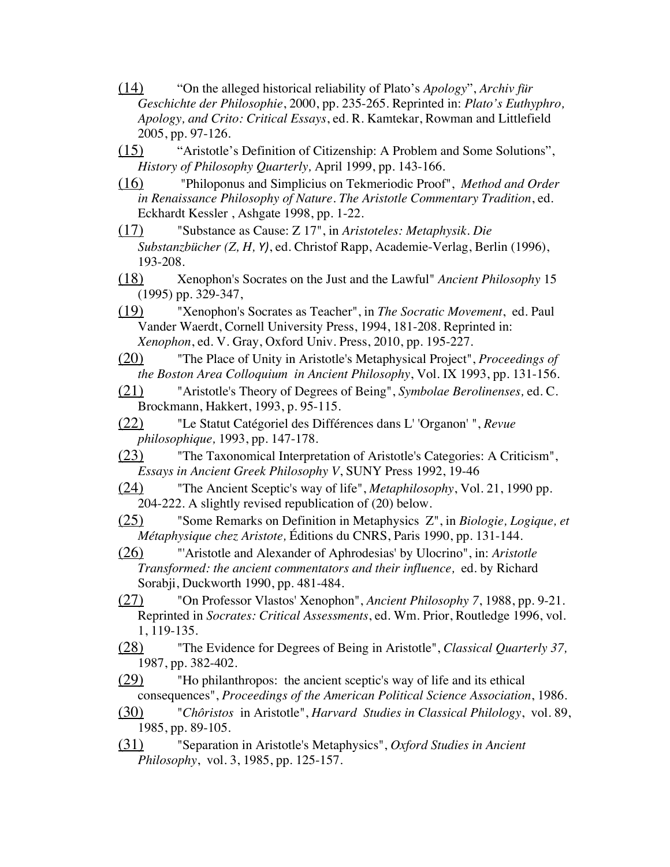- (14) "On the alleged historical reliability of Plato's *Apology*", *Archiv für Geschichte der Philosophie*, 2000, pp. 235-265. Reprinted in: *Plato's Euthyphro, Apology, and Crito: Critical Essays*, ed. R. Kamtekar, Rowman and Littlefield 2005, pp. 97-126.
- (15) "Aristotle's Definition of Citizenship: A Problem and Some Solutions", *History of Philosophy Quarterly,* April 1999, pp. 143-166.
- (16) "Philoponus and Simplicius on Tekmeriodic Proof", *Method and Order in Renaissance Philosophy of Nature. The Aristotle Commentary Tradition*, ed. Eckhardt Kessler , Ashgate 1998, pp. 1-22.
- (17) "Substance as Cause: Z 17", in *Aristoteles: Metaphysik. Die Substanzbücher (Z, H, Y)*, ed. Christof Rapp, Academie-Verlag, Berlin (1996), 193-208.
- (18) Xenophon's Socrates on the Just and the Lawful" *Ancient Philosophy* 15 (1995) pp. 329-347,
- (19) "Xenophon's Socrates as Teacher", in *The Socratic Movement*, ed. Paul Vander Waerdt, Cornell University Press, 1994, 181-208. Reprinted in: *Xenophon*, ed. V. Gray, Oxford Univ. Press, 2010, pp. 195-227.
- (20) "The Place of Unity in Aristotle's Metaphysical Project", *Proceedings of the Boston Area Colloquium in Ancient Philosophy*, Vol. IX 1993, pp. 131-156.
- (21) "Aristotle's Theory of Degrees of Being", *Symbolae Berolinenses,* ed. C. Brockmann, Hakkert, 1993, p. 95-115.
- (22) "Le Statut Catégoriel des Différences dans L' 'Organon' ", *Revue philosophique,* 1993, pp. 147-178.
- (23) "The Taxonomical Interpretation of Aristotle's Categories: A Criticism", *Essays in Ancient Greek Philosophy V*, SUNY Press 1992, 19-46
- (24) "The Ancient Sceptic's way of life", *Metaphilosophy*, Vol. 21, 1990 pp. 204-222. A slightly revised republication of (20) below.
- (25) "Some Remarks on Definition in Metaphysics Z", in *Biologie, Logique, et Métaphysique chez Aristote,* Éditions du CNRS, Paris 1990, pp. 131-144.
- (26) "'Aristotle and Alexander of Aphrodesias' by Ulocrino", in: *Aristotle Transformed: the ancient commentators and their influence,* ed. by Richard Sorabji, Duckworth 1990, pp. 481-484.
- (27) "On Professor Vlastos' Xenophon", *Ancient Philosophy 7*, 1988, pp. 9-21. Reprinted in *Socrates: Critical Assessments*, ed. Wm. Prior, Routledge 1996, vol. 1, 119-135.
- (28) "The Evidence for Degrees of Being in Aristotle", *Classical Quarterly 37,*  1987, pp. 382-402.
- $(29)$  "Ho philanthropos: the ancient sceptic's way of life and its ethical consequences", *Proceedings of the American Political Science Association*, 1986.
- (30) "*Chôristos* in Aristotle", *Harvard Studies in Classical Philology*, vol. 89, 1985, pp. 89-105.
- (31) "Separation in Aristotle's Metaphysics", *Oxford Studies in Ancient Philosophy*, vol. 3, 1985, pp. 125-157.